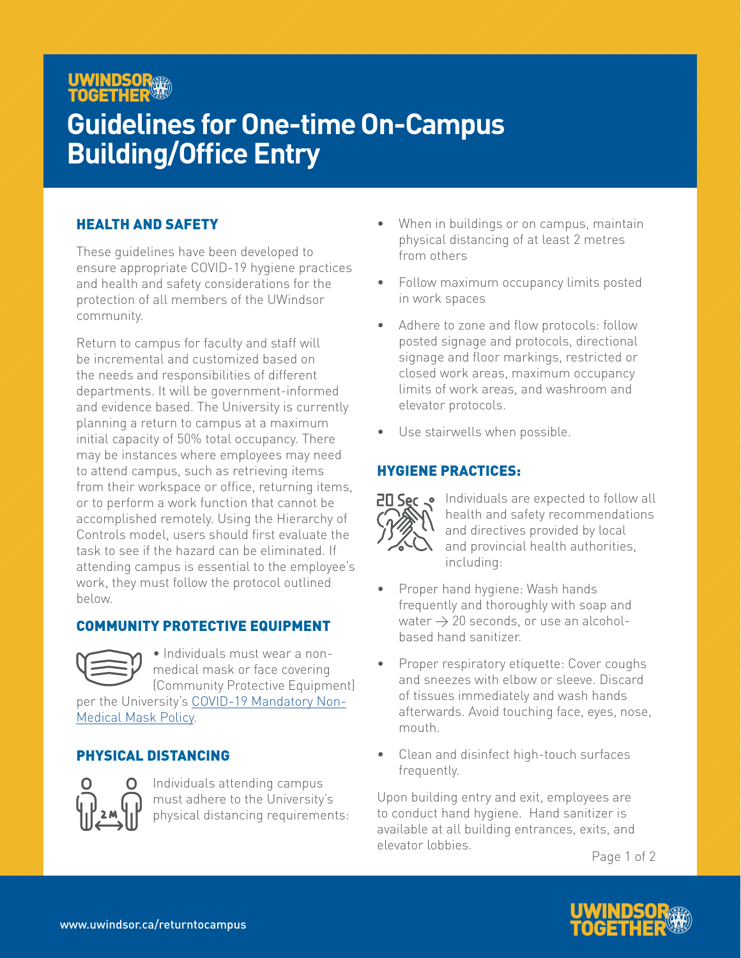#### UWINDSOR **TOGETHER**

# **Guidelines for One-time On-Campus Building/Office Entry**

#### HEALTH AND SAFETY

These guidelines have been developed to ensure appropriate COVID-19 hygiene practices and health and safety considerations for the protection of all members of the UWindsor community.

Return to campus for faculty and staff will be incremental and customized based on the needs and responsibilities of different departments. It will be government-informed and evidence based. The University is currently planning a return to campus at a maximum initial capacity of 50% total occupancy. There may be instances where employees may need to attend campus, such as retrieving items from their workspace or office, returning items, or to perform a work function that cannot be accomplished remotely. Using the Hierarchy of Controls model, users should first evaluate the task to see if the hazard can be eliminated. If attending campus is essential to the employee's work, they must follow the protocol outlined below.

#### COMMUNITY PROTECTIVE EQUIPMENT



• Individuals must wear a nonmedical mask or face covering (Community Protective Equipment)

per the University's [COVID-19 Mandatory Non-](https://lawlibrary.uwindsor.ca/Presto/content/Detail.aspx?ctID=OTdhY2QzODgtNjhlYi00ZWY0LTg2OTUtNmU5NjEzY2JkMWYx&rID=MjQw&qrs=RmFsc2U=&q=KFVuaXZlcnNpdHlfb2ZfV2luZHNvcl9DZW50cmFsX1BvbGljaWVzLkFsbFRleHQ6KENPVklEKSk=&ph=VHJ1ZQ==&bckToL=VHJ1ZQ==&rrtc=VHJ1ZQ==)[Medical Mask Policy](https://lawlibrary.uwindsor.ca/Presto/content/Detail.aspx?ctID=OTdhY2QzODgtNjhlYi00ZWY0LTg2OTUtNmU5NjEzY2JkMWYx&rID=MjQw&qrs=RmFsc2U=&q=KFVuaXZlcnNpdHlfb2ZfV2luZHNvcl9DZW50cmFsX1BvbGljaWVzLkFsbFRleHQ6KENPVklEKSk=&ph=VHJ1ZQ==&bckToL=VHJ1ZQ==&rrtc=VHJ1ZQ==).

### PHYSICAL DISTANCING



Individuals attending campus must adhere to the University's physical distancing requirements:

- When in buildings or on campus, maintain physical distancing of at least 2 metres from others
- Follow maximum occupancy limits posted in work spaces
- Adhere to zone and flow protocols: follow posted signage and protocols, directional signage and floor markings, restricted or closed work areas, maximum occupancy limits of work areas, and washroom and elevator protocols.
- Use stairwells when possible.

## HYGIENE PRACTICES:



**PD Sec** . Individuals are expected to follow all health and safety recommendations and directives provided by local and provincial health authorities, including:

- Proper hand hygiene: Wash hands frequently and thoroughly with soap and water  $\rightarrow$  20 seconds, or use an alcoholbased hand sanitizer.
- Proper respiratory etiquette: Cover coughs and sneezes with elbow or sleeve. Discard of tissues immediately and wash hands afterwards. Avoid touching face, eyes, nose, mouth.
- Clean and disinfect high-touch surfaces frequently.

Upon building entry and exit, employees are to conduct hand hygiene. Hand sanitizer is available at all building entrances, exits, and elevator lobbies.

Page 1 of 2